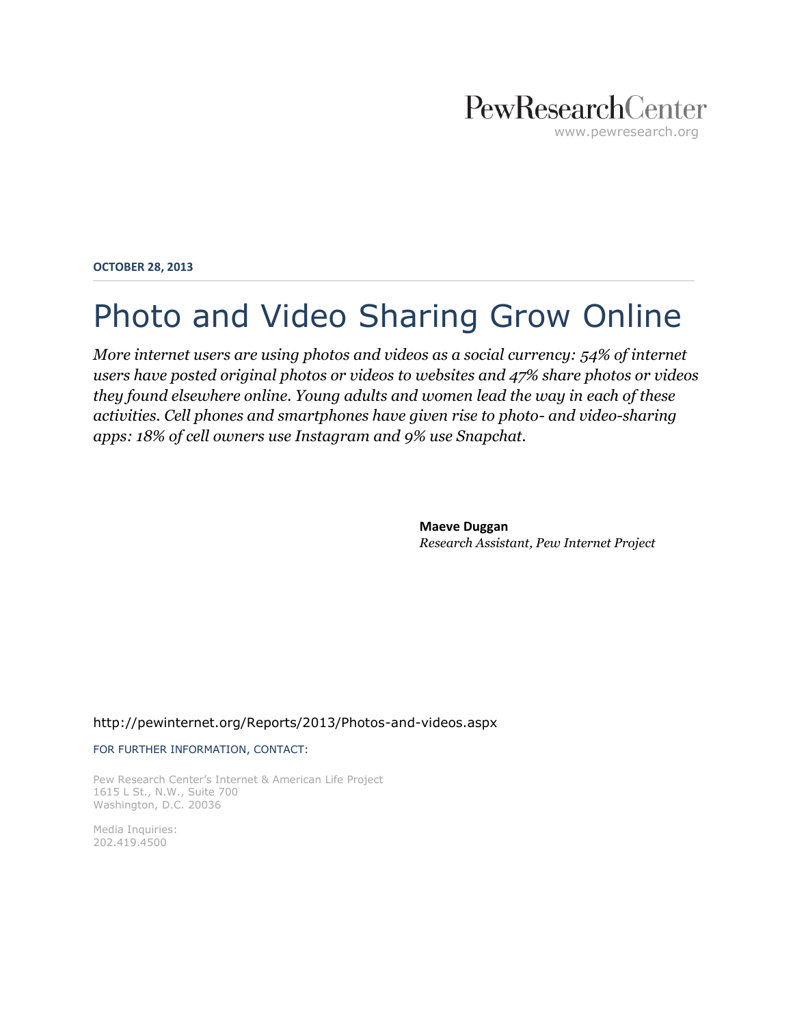# PewResearchCenter www.pewresearch.org

**OCTOBER 28, 2013**

# Photo and Video Sharing Grow Online

*More internet users are using photos and videos as a social currency: 54% of internet users have posted original photos or videos to websites and 47% share photos or videos they found elsewhere online. Young adults and women lead the way in each of these activities. Cell phones and smartphones have given rise to photo- and video-sharing apps: 18% of cell owners use Instagram and 9% use Snapchat.*

> **Maeve Duggan** *Research Assistant, Pew Internet Project*

#### <http://pewinternet.org/Reports/2013/Photos-and-videos.aspx>

#### FOR FURTHER INFORMATION, CONTACT:

Pew Research Center's Internet & American Life Project 1615 L St., N.W., Suite 700 Washington, D.C. 20036

Media Inquiries: 202.419.4500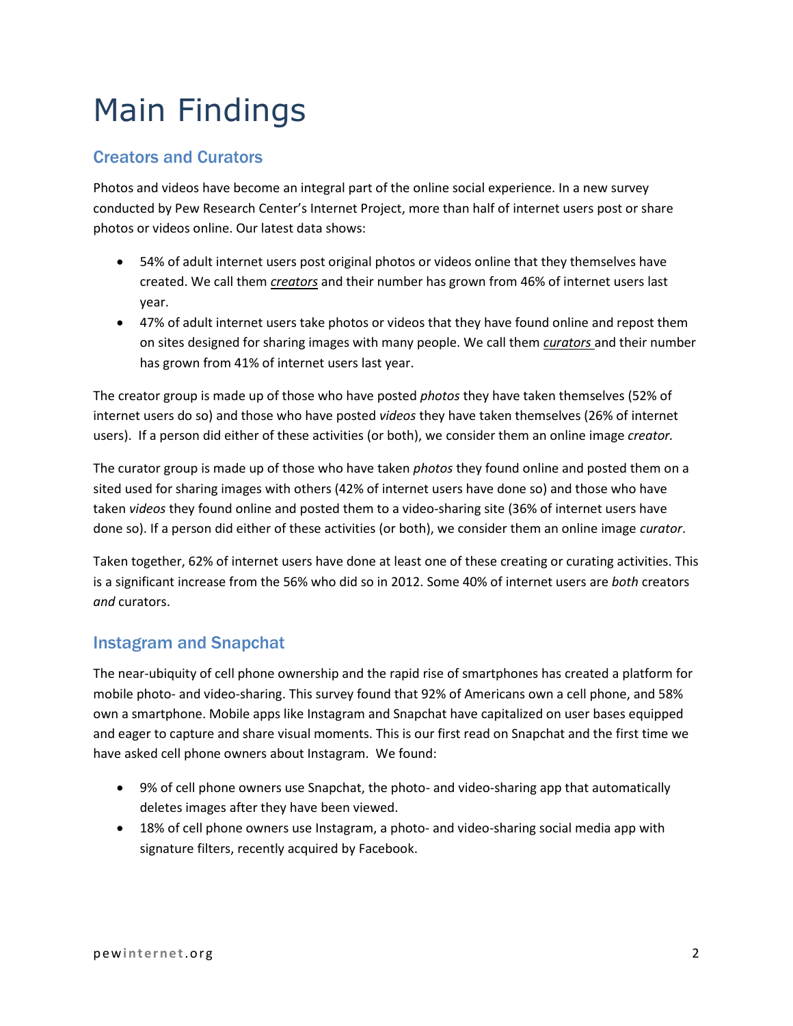# Main Findings

### Creators and Curators

Photos and videos have become an integral part of the online social experience. In a new survey conducted by Pew Research Center's Internet Project, more than half of internet users post or share photos or videos online. Our latest data shows:

- 54% of adult internet users post original photos or videos online that they themselves have created. We call them *creators* and their number has grown from 46% of internet users last year.
- 47% of adult internet users take photos or videos that they have found online and repost them on sites designed for sharing images with many people. We call them *curators* and their number has grown from 41% of internet users last year.

The creator group is made up of those who have posted *photos* they have taken themselves (52% of internet users do so) and those who have posted *videos* they have taken themselves (26% of internet users). If a person did either of these activities (or both), we consider them an online image *creator.*

The curator group is made up of those who have taken *photos* they found online and posted them on a sited used for sharing images with others (42% of internet users have done so) and those who have taken *videos* they found online and posted them to a video-sharing site (36% of internet users have done so). If a person did either of these activities (or both), we consider them an online image *curator*.

Taken together, 62% of internet users have done at least one of these creating or curating activities. This is a significant increase from the 56% who did so in 2012. Some 40% of internet users are *both* creators *and* curators.

### Instagram and Snapchat

The near-ubiquity of cell phone ownership and the rapid rise of smartphones has created a platform for mobile photo- and video-sharing. This survey found that 92% of Americans own a cell phone, and 58% own a smartphone. Mobile apps like Instagram and Snapchat have capitalized on user bases equipped and eager to capture and share visual moments. This is our first read on Snapchat and the first time we have asked cell phone owners about Instagram. We found:

- 9% of cell phone owners use Snapchat, the photo- and video-sharing app that automatically deletes images after they have been viewed.
- 18% of cell phone owners use Instagram, a photo- and video-sharing social media app with signature filters, recently acquired by Facebook.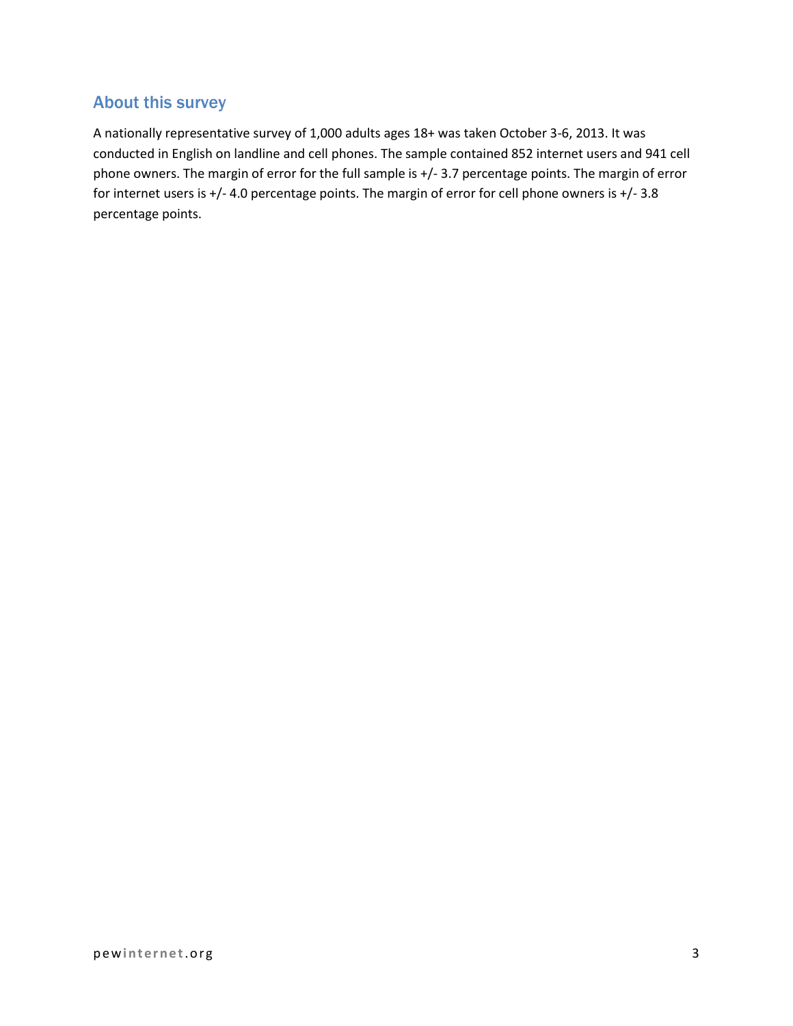## About this survey

A nationally representative survey of 1,000 adults ages 18+ was taken October 3-6, 2013. It was conducted in English on landline and cell phones. The sample contained 852 internet users and 941 cell phone owners. The margin of error for the full sample is +/- 3.7 percentage points. The margin of error for internet users is +/- 4.0 percentage points. The margin of error for cell phone owners is +/- 3.8 percentage points.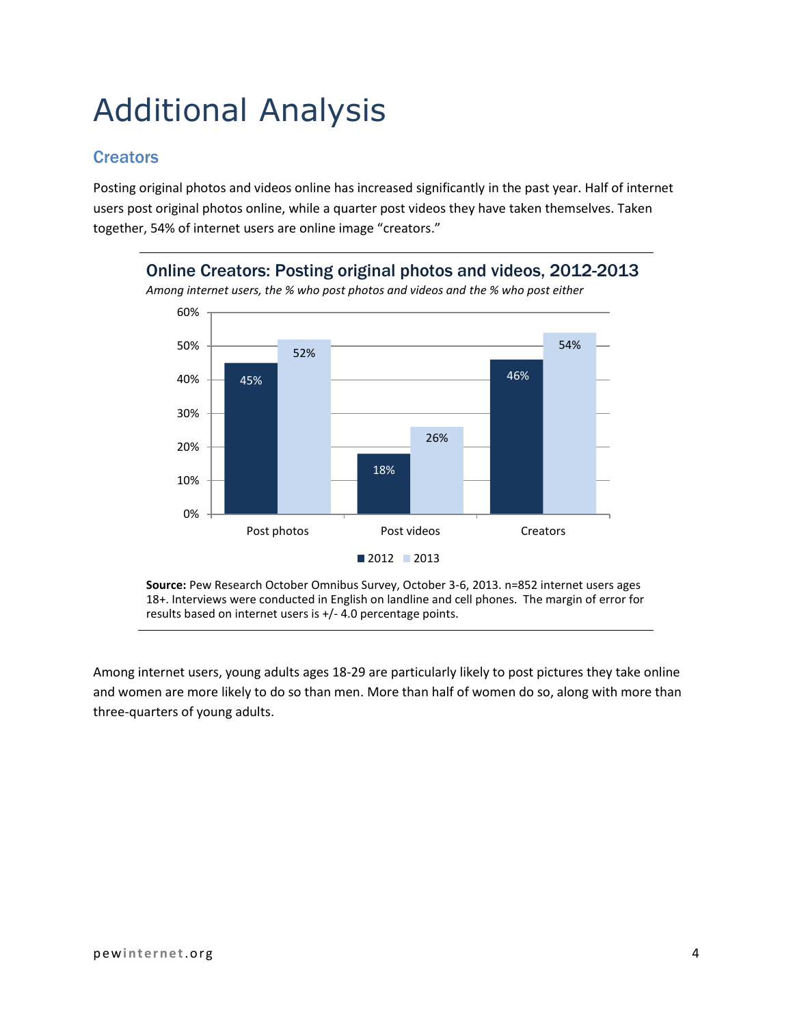# Additional Analysis

### **Creators**

Posting original photos and videos online has increased significantly in the past year. Half of internet users post original photos online, while a quarter post videos they have taken themselves. Taken together, 54% of internet users are online image "creators."

Online Creators: Posting original photos and videos, 2012-2013



**Source:** Pew Research October Omnibus Survey, October 3-6, 2013. n=852 internet users ages 18+. Interviews were conducted in English on landline and cell phones. The margin of error for results based on internet users is +/- 4.0 percentage points.

Among internet users, young adults ages 18-29 are particularly likely to post pictures they take online and women are more likely to do so than men. More than half of women do so, along with more than three-quarters of young adults.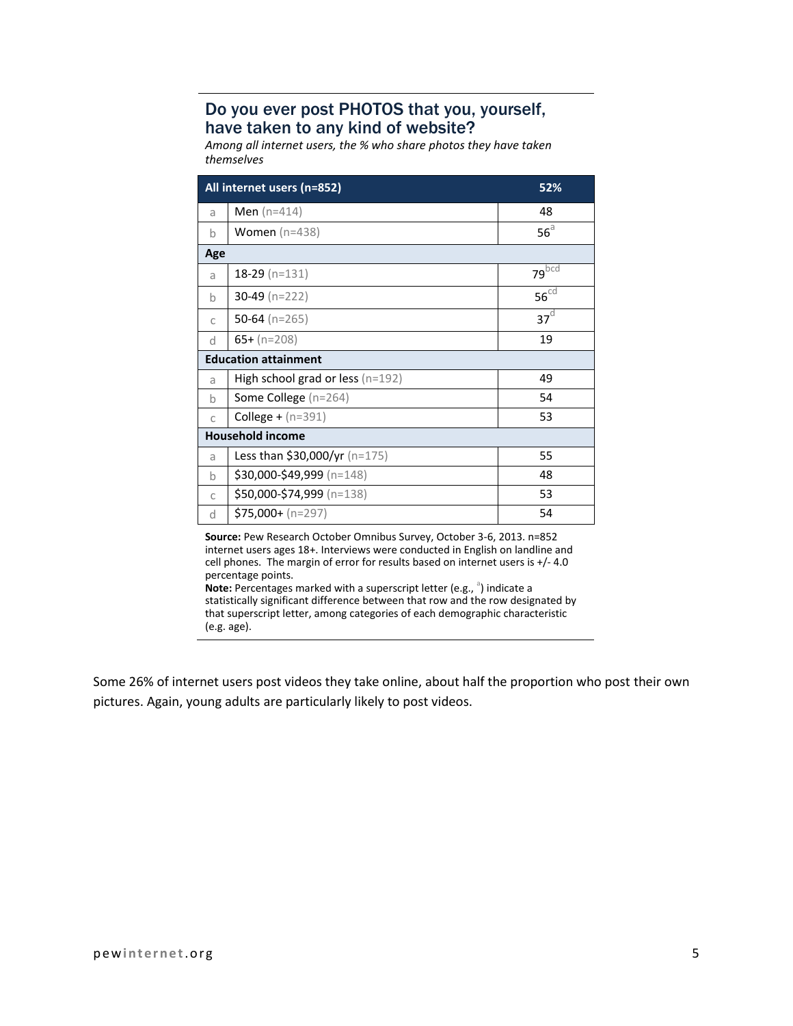### Do you ever post PHOTOS that you, yourself, have taken to any kind of website?

*Among all internet users, the % who share photos they have taken themselves*

|                                                                       | All internet users (n=852)           | 52%                  |
|-----------------------------------------------------------------------|--------------------------------------|----------------------|
| a                                                                     | <b>Men</b> ( $n=414$ )               | 48                   |
| b                                                                     | Women $(n=438)$                      | $56^{\circ}$         |
| Age                                                                   |                                      |                      |
| a                                                                     | $18-29$ (n=131)                      | $79$ <sub>bcd</sub>  |
| b                                                                     | 30-49 ( $n=222$ )                    | $56^{\overline{cd}}$ |
| C                                                                     | 50-64 $(n=265)$                      | 37 <sup>d</sup>      |
| d                                                                     | $65+ (n=208)$                        | 19                   |
| <b>Education attainment</b>                                           |                                      |                      |
| a                                                                     | High school grad or less $(n=192)$   | 49                   |
| b                                                                     | Some College (n=264)                 | 54                   |
| C                                                                     | <b>College +</b> $(n=391)$           | 53                   |
| <b>Household income</b>                                               |                                      |                      |
| a                                                                     | <b>Less than \$30,000/yr</b> (n=175) | 55                   |
| b                                                                     | $$30,000-\$49,999$ (n=148)           | 48                   |
| C                                                                     | \$50,000-\$74,999 (n=138)            | 53                   |
| d                                                                     | $$75,000 + (n=297)$                  | 54                   |
| Source: Pew Research October Omnibus Survey, October 3-6, 2013. n=852 |                                      |                      |

**Source:** Pew Research October Omnibus Survey, October 3-6, 2013. n=852 internet users ages 18+. Interviews were conducted in English on landline and cell phones. The margin of error for results based on internet users is +/- 4.0 percentage points. **Note:** Percentages marked with a superscript letter (e.g., <sup>a</sup>) indicate a

statistically significant difference between that row and the row designated by that superscript letter, among categories of each demographic characteristic (e.g. age).

Some 26% of internet users post videos they take online, about half the proportion who post their own pictures. Again, young adults are particularly likely to post videos.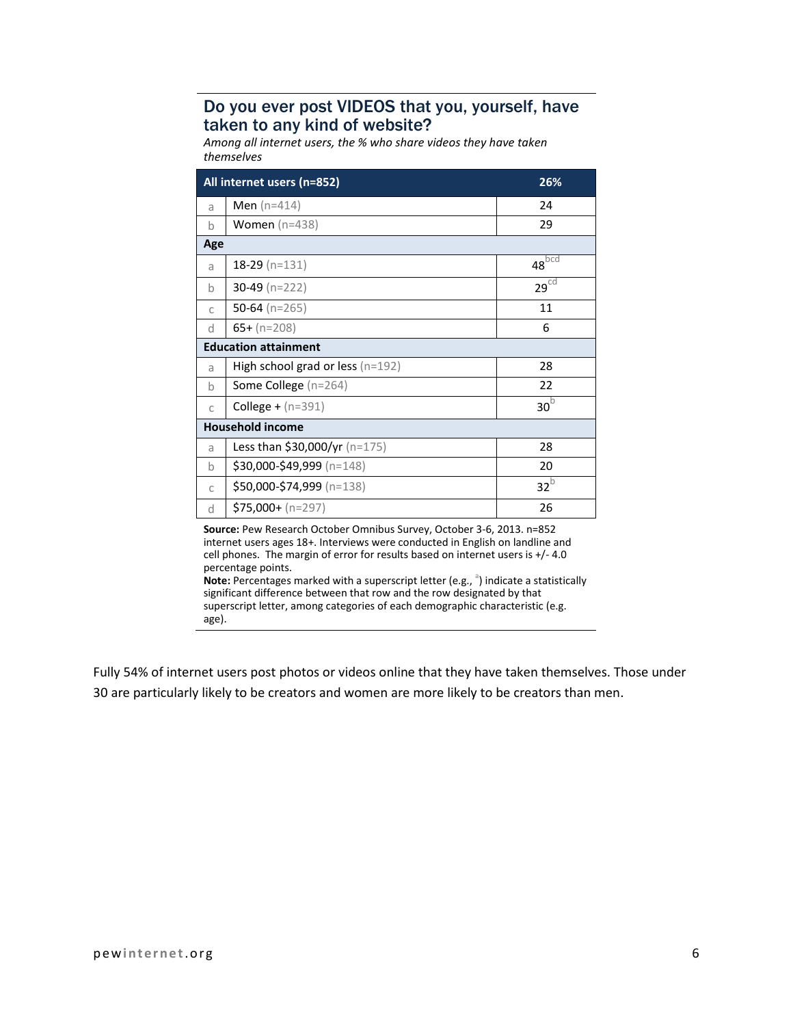#### Do you ever post VIDEOS that you, yourself, have taken to any kind of website?

*Among all internet users, the % who share videos they have taken themselves*

| All internet users (n=852)  |                                    | 26%              |
|-----------------------------|------------------------------------|------------------|
| a                           | <b>Men</b> ( $n=414$ )             | 24               |
| h                           | Women $(n=438)$                    | 29               |
| Age                         |                                    |                  |
| a                           | $18-29$ (n=131)                    | $48^{bcd}$       |
| h                           | $30-49$ (n=222)                    | 29 <sup>cd</sup> |
| C                           | 50-64 ( $n=265$ )                  | 11               |
| <sub>d</sub>                | $65+ (n=208)$                      | 6                |
| <b>Education attainment</b> |                                    |                  |
| a                           | High school grad or less $(n=192)$ | 28               |
| $\mathsf{h}$                | <b>Some College</b> ( $n=264$ )    | 22               |
| $\mathbb{C}$                | <b>College +</b> $(n=391)$         | 30 <sup>b</sup>  |
| <b>Household income</b>     |                                    |                  |
| a                           | Less than \$30,000/yr (n=175)      | 28               |
| h                           | \$30,000-\$49,999 (n=148)          | 20               |
| C                           | \$50,000-\$74,999 (n=138)          | $32^{b}$         |
| <sub>d</sub>                | $$75,000+ (n=297)$                 | 26               |

**Source:** Pew Research October Omnibus Survey, October 3-6, 2013. n=852 internet users ages 18+. Interviews were conducted in English on landline and cell phones. The margin of error for results based on internet users is +/- 4.0 percentage points.

**Note:** Percentages marked with a superscript letter (e.g., <sup>a</sup>) indicate a statistically significant difference between that row and the row designated by that superscript letter, among categories of each demographic characteristic (e.g. age).

Fully 54% of internet users post photos or videos online that they have taken themselves. Those under 30 are particularly likely to be creators and women are more likely to be creators than men.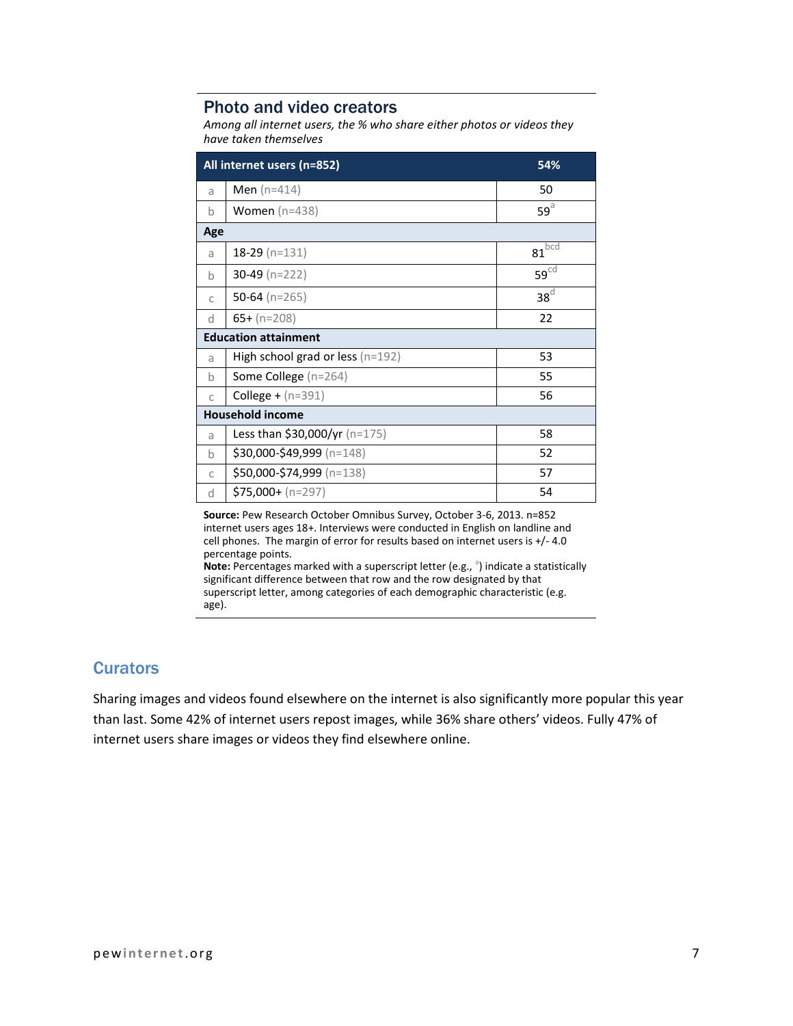#### Photo and video creators

*Among all internet users, the % who share either photos or videos they have taken themselves*

| All internet users (n=852)  |                                      | 54%                 |
|-----------------------------|--------------------------------------|---------------------|
| a                           | <b>Men</b> ( $n=414$ )               | 50                  |
| $\mathsf b$                 | <b>Women</b> $(n=438)$               | $59^{\text{a}}$     |
| Age                         |                                      |                     |
| a                           | $18-29$ (n=131)                      | $81$ <sub>bcd</sub> |
| $\mathsf b$                 | $30-49$ (n=222)                      | 59 <sup>cd</sup>    |
| C                           | 50-64 ( $n=265$ )                    | $38^d$              |
| d                           | $65+ (n=208)$                        | 22                  |
| <b>Education attainment</b> |                                      |                     |
| a                           | High school grad or less $(n=192)$   | 53                  |
| $\mathsf b$                 | Some College $(n=264)$               | 55                  |
| C                           | <b>College +</b> ( $n=391$ )         | 56                  |
| <b>Household income</b>     |                                      |                     |
| a                           | <b>Less than \$30,000/yr</b> (n=175) | 58                  |
| $\mathsf{h}$                | \$30,000-\$49,999 (n=148)            | 52                  |
| C                           | \$50,000-\$74,999 (n=138)            | 57                  |
| d                           | $$75,000 + (n=297)$                  | 54                  |

**Source:** Pew Research October Omnibus Survey, October 3-6, 2013. n=852 internet users ages 18+. Interviews were conducted in English on landline and cell phones. The margin of error for results based on internet users is +/- 4.0 percentage points.

**Note:** Percentages marked with a superscript letter (e.g., <sup>a</sup>) indicate a statistically significant difference between that row and the row designated by that superscript letter, among categories of each demographic characteristic (e.g. age).

#### **Curators**

Sharing images and videos found elsewhere on the internet is also significantly more popular this year than last. Some 42% of internet users repost images, while 36% share others' videos. Fully 47% of internet users share images or videos they find elsewhere online.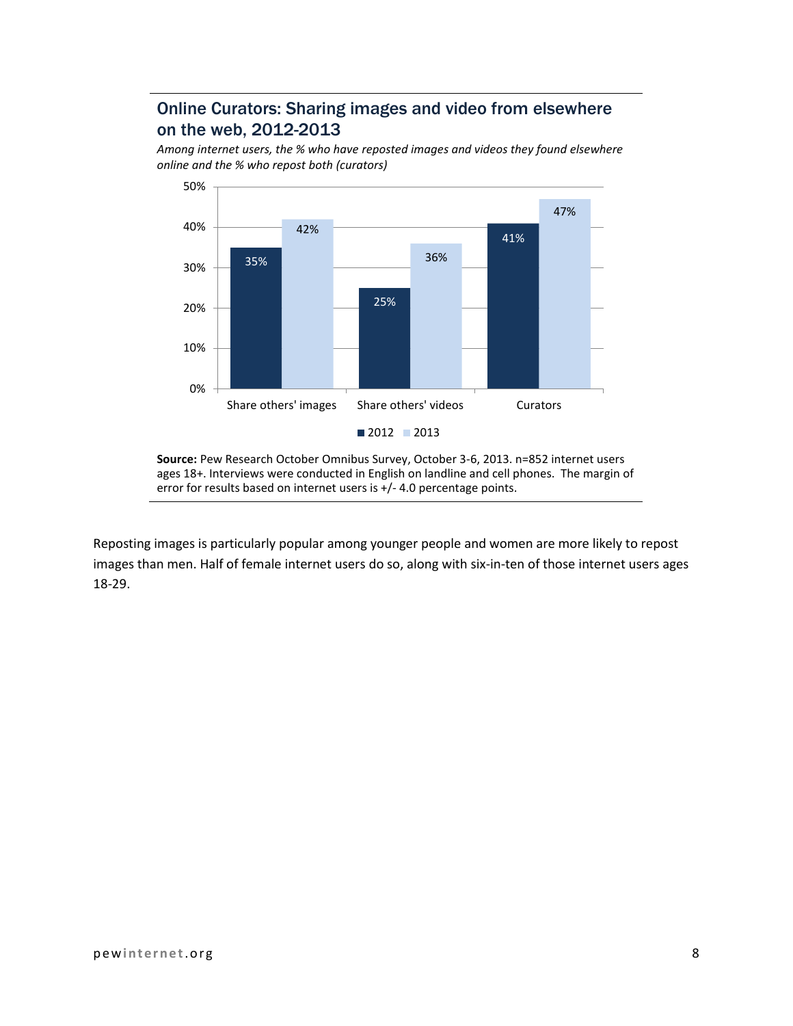## Online Curators: Sharing images and video from elsewhere on the web, 2012-2013

*Among internet users, the % who have reposted images and videos they found elsewhere online and the % who repost both (curators)*



**Source:** Pew Research October Omnibus Survey, October 3-6, 2013. n=852 internet users ages 18+. Interviews were conducted in English on landline and cell phones. The margin of error for results based on internet users is +/- 4.0 percentage points.

Reposting images is particularly popular among younger people and women are more likely to repost images than men. Half of female internet users do so, along with six-in-ten of those internet users ages 18-29.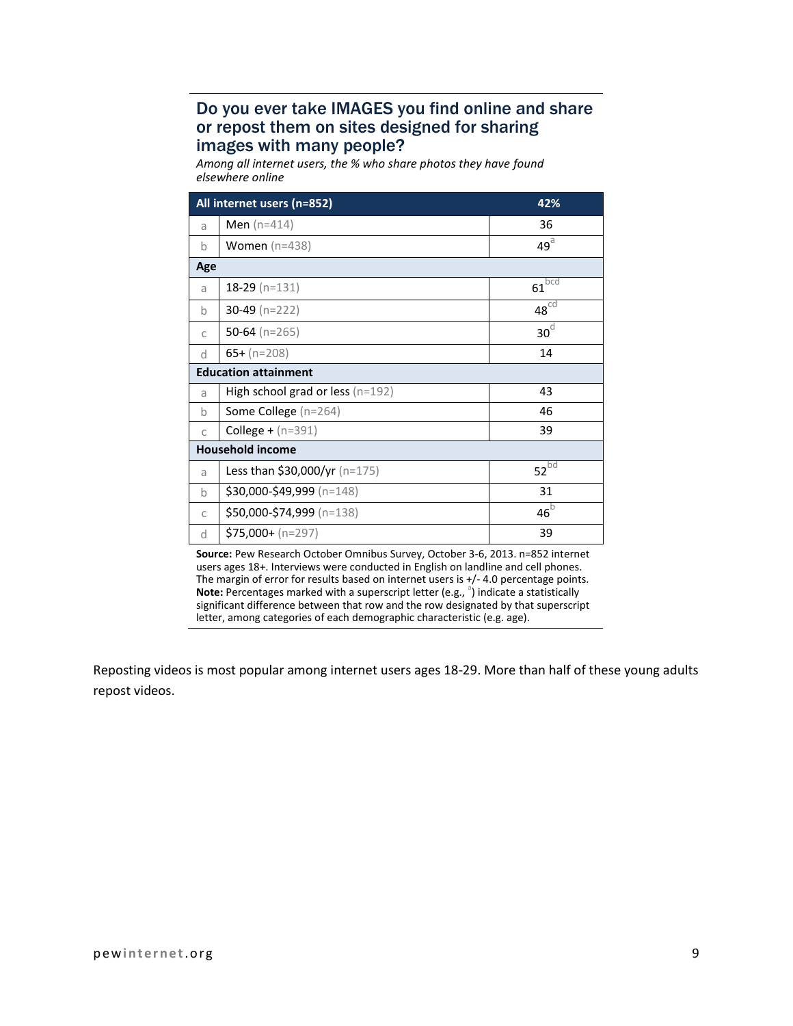#### Do you ever take IMAGES you find online and share or repost them on sites designed for sharing images with many people?

*Among all internet users, the % who share photos they have found elsewhere online*

|                             | All internet users (n=852)           | 42%             |
|-----------------------------|--------------------------------------|-----------------|
| a                           | <b>Men</b> ( $n=414$ )               | 36              |
| $\mathsf b$                 | Women $(n=438)$                      | $49^{\circ}$    |
| Age                         |                                      |                 |
| a                           | $18-29$ (n=131)                      | $61^{bcd}$      |
| $\mathbf b$                 | $30-49$ (n=222)                      | $48^{\circ d}$  |
| C                           | 50-64 (n=265)                        | 30 <sup>d</sup> |
| <sub>d</sub>                | $65+ (n=208)$                        | 14              |
| <b>Education attainment</b> |                                      |                 |
| a                           | High school grad or less (n=192)     | 43              |
| $\mathsf b$                 | Some College (n=264)                 | 46              |
| $\mathbb{C}$                | <b>College +</b> $(n=391)$           | 39              |
|                             | <b>Household income</b>              |                 |
| a                           | <b>Less than \$30,000/yr</b> (n=175) | $52^{bd}$       |
| $\mathbf b$                 | \$30,000-\$49,999 (n=148)            | 31              |
| $\mathsf{C}$                | \$50,000-\$74,999 (n=138)            | $46^{\circ}$    |
| d                           | $$75,000 + (n=297)$                  | 39              |

**Source:** Pew Research October Omnibus Survey, October 3-6, 2013. n=852 internet users ages 18+. Interviews were conducted in English on landline and cell phones. The margin of error for results based on internet users is +/- 4.0 percentage points. Note: Percentages marked with a superscript letter (e.g., <sup>a</sup>) indicate a statistically significant difference between that row and the row designated by that superscript letter, among categories of each demographic characteristic (e.g. age).

Reposting videos is most popular among internet users ages 18-29. More than half of these young adults repost videos.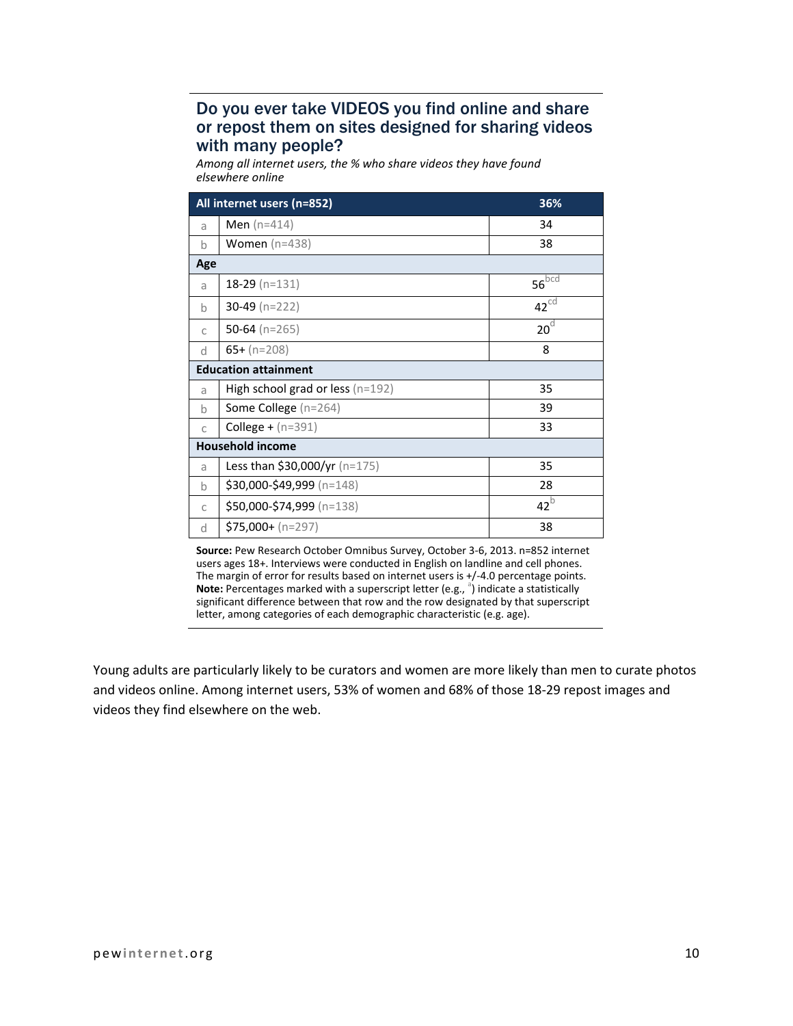#### Do you ever take VIDEOS you find online and share or repost them on sites designed for sharing videos with many people?

*Among all internet users, the % who share videos they have found elsewhere online*

|                             | All internet users (n=852)           | 36%              |
|-----------------------------|--------------------------------------|------------------|
| a                           | <b>Men</b> ( $n=414$ )               | 34               |
| b                           | Women $(n=438)$                      | 38               |
| Age                         |                                      |                  |
| a                           | $18-29$ (n=131)                      | $56^{bcd}$       |
| b                           | 30-49 ( $n=222$ )                    | $42^{\text{cd}}$ |
| C                           | 50-64 ( $n=265$ )                    | 20 <sup>d</sup>  |
| d                           | $65+ (n=208)$                        | 8                |
| <b>Education attainment</b> |                                      |                  |
| a                           | High school grad or less $(n=192)$   | 35               |
| h                           | Some College (n=264)                 | 39               |
| $\mathbb{C}$                | <b>College</b> + $(n=391)$           | 33               |
| <b>Household income</b>     |                                      |                  |
| a                           | <b>Less than \$30,000/yr</b> (n=175) | 35               |
| b                           | \$30,000-\$49,999 (n=148)            | 28               |
| C                           | \$50,000-\$74,999 (n=138)            | $42^{b}$         |
| d                           | $$75,000 + (n=297)$                  | 38               |

**Source:** Pew Research October Omnibus Survey, October 3-6, 2013. n=852 internet users ages 18+. Interviews were conducted in English on landline and cell phones. The margin of error for results based on internet users is +/-4.0 percentage points. Note: Percentages marked with a superscript letter (e.g., <sup>a</sup>) indicate a statistically significant difference between that row and the row designated by that superscript letter, among categories of each demographic characteristic (e.g. age).

Young adults are particularly likely to be curators and women are more likely than men to curate photos and videos online. Among internet users, 53% of women and 68% of those 18-29 repost images and videos they find elsewhere on the web.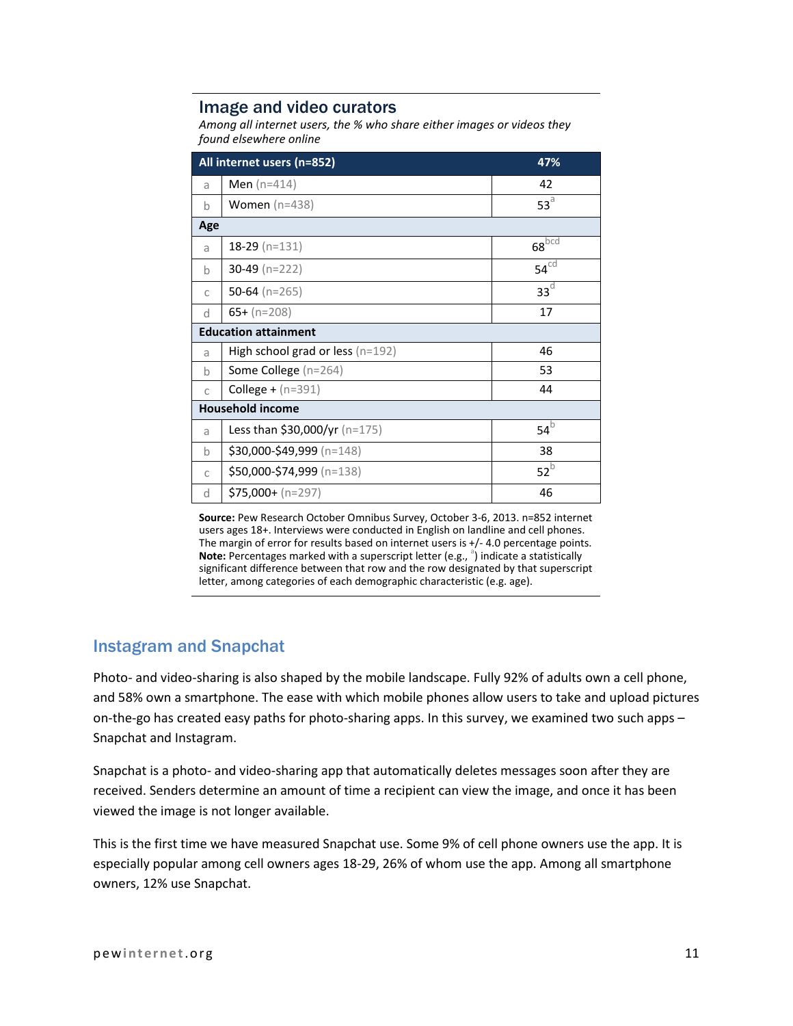#### Image and video curators

*Among all internet users, the % who share either images or videos they found elsewhere online*

|                             | All internet users (n=852)           | 47%              |  |
|-----------------------------|--------------------------------------|------------------|--|
| a                           | <b>Men</b> ( $n=414$ )               | 42               |  |
| $\mathbf b$                 | Women $(n=438)$                      | $53^{\circ}$     |  |
| Age                         |                                      |                  |  |
| a                           | $18-29$ (n=131)                      | $68^{bcd}$       |  |
| $\mathsf{h}$                | 30-49 (n=222)                        | $54^{\text{cd}}$ |  |
| C                           | 50-64 ( $n=265$ )                    | 33 <sup>d</sup>  |  |
| d                           | $65+ (n=208)$                        | 17               |  |
| <b>Education attainment</b> |                                      |                  |  |
| a                           | High school grad or less (n=192)     | 46               |  |
| $\mathsf{h}$                | Some College (n=264)                 | 53               |  |
| $\mathbb{C}$                | <b>College +</b> $(n=391)$           | 44               |  |
|                             | <b>Household income</b>              |                  |  |
| a                           | <b>Less than \$30,000/yr</b> (n=175) | $54^b$           |  |
| $\mathsf{h}$                | $$30,000-S49,999 (n=148)$            | 38               |  |
| C                           | \$50,000-\$74,999 (n=138)            | $52^{b}$         |  |
| d                           | $$75,000 + (n=297)$                  | 46               |  |

**Source:** Pew Research October Omnibus Survey, October 3-6, 2013. n=852 internet users ages 18+. Interviews were conducted in English on landline and cell phones. The margin of error for results based on internet users is +/- 4.0 percentage points. Note: Percentages marked with a superscript letter (e.g., <sup>a</sup>) indicate a statistically significant difference between that row and the row designated by that superscript letter, among categories of each demographic characteristic (e.g. age).

#### Instagram and Snapchat

Photo- and video-sharing is also shaped by the mobile landscape. Fully 92% of adults own a cell phone, and 58% own a smartphone. The ease with which mobile phones allow users to take and upload pictures on-the-go has created easy paths for photo-sharing apps. In this survey, we examined two such apps – Snapchat and Instagram.

Snapchat is a photo- and video-sharing app that automatically deletes messages soon after they are received. Senders determine an amount of time a recipient can view the image, and once it has been viewed the image is not longer available.

This is the first time we have measured Snapchat use. Some 9% of cell phone owners use the app. It is especially popular among cell owners ages 18-29, 26% of whom use the app. Among all smartphone owners, 12% use Snapchat.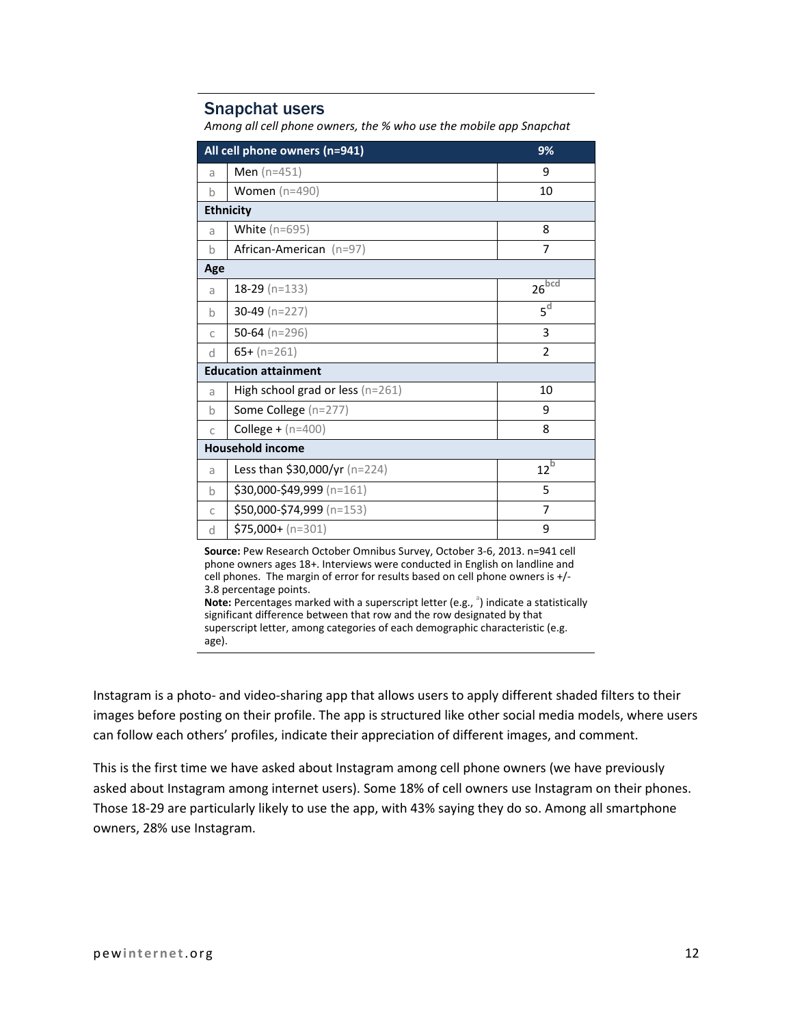#### Snapchat users

*Among all cell phone owners, the % who use the mobile app Snapchat*

|                             | All cell phone owners (n=941)      | 9%                  |
|-----------------------------|------------------------------------|---------------------|
| a                           | <b>Men</b> ( $n=451$ )             | 9                   |
| h                           | <b>Women</b> (n=490)               | 10                  |
|                             | <b>Ethnicity</b>                   |                     |
| a                           | White $(n=695)$                    | 8                   |
| $\mathsf{h}$                | African-American (n=97)            | 7                   |
| Age                         |                                    |                     |
| a                           | $18-29$ (n=133)                    | $26\overline{b}$ cd |
| h                           | 30-49 ( $n=227$ )                  | 5 <sup>d</sup>      |
| $\mathsf{C}$                | 50-64 ( $n=296$ )                  | 3                   |
| <sub>d</sub>                | $65+ (n=261)$                      | $\overline{2}$      |
| <b>Education attainment</b> |                                    |                     |
| a                           | High school grad or less $(n=261)$ | 10                  |
| $\mathsf{h}$                | Some College (n=277)               | 9                   |
| $\mathsf{C}$                | <b>College +</b> $(n=400)$         | 8                   |
| <b>Household income</b>     |                                    |                     |
| a                           | Less than \$30,000/yr $(n=224)$    | $12^{b}$            |
| $\mathsf{h}$                | $$30,000-\$49,999$ (n=161)         | 5                   |
| $\mathbb{C}$                | \$50,000-\$74,999 (n=153)          | $\overline{7}$      |
| d                           | $$75,000 + (n=301)$                | 9                   |

**Source:** Pew Research October Omnibus Survey, October 3-6, 2013. n=941 cell phone owners ages 18+. Interviews were conducted in English on landline and cell phones. The margin of error for results based on cell phone owners is +/- 3.8 percentage points.

Note: Percentages marked with a superscript letter (e.g., <sup>a</sup>) indicate a statistically significant difference between that row and the row designated by that superscript letter, among categories of each demographic characteristic (e.g. age).

Instagram is a photo- and video-sharing app that allows users to apply different shaded filters to their images before posting on their profile. The app is structured like other social media models, where users can follow each others' profiles, indicate their appreciation of different images, and comment.

This is the first time we have asked about Instagram among cell phone owners (we have previously asked about Instagram among internet users). Some 18% of cell owners use Instagram on their phones. Those 18-29 are particularly likely to use the app, with 43% saying they do so. Among all smartphone owners, 28% use Instagram.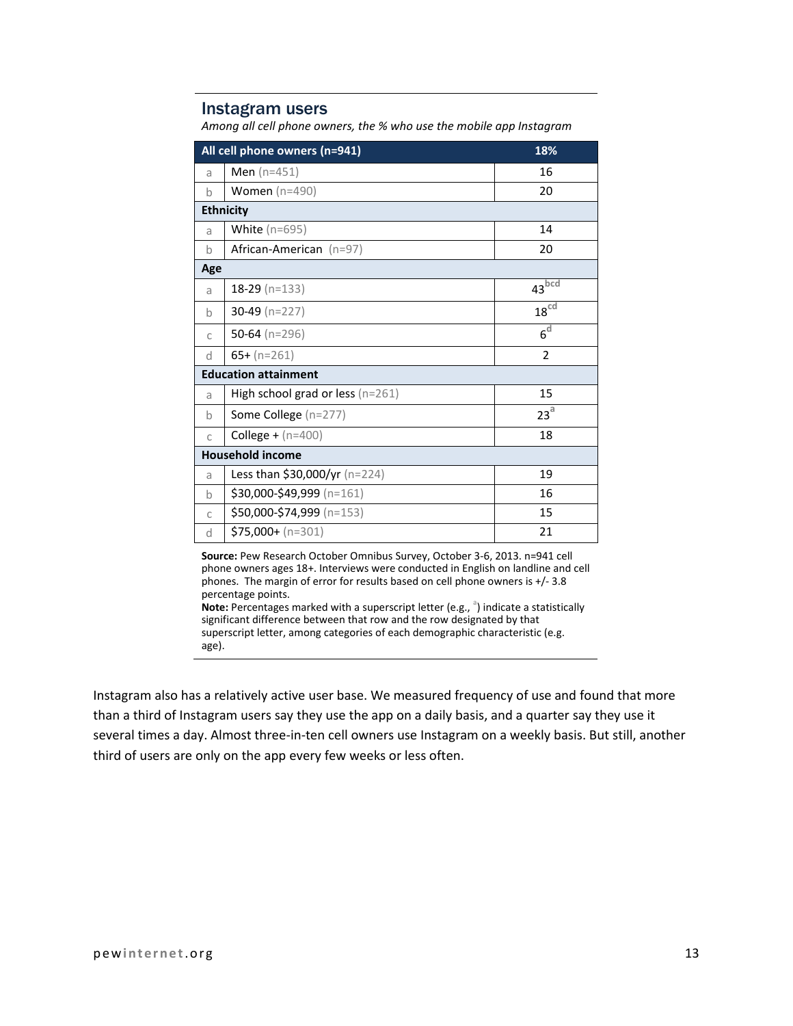#### Instagram users

*Among all cell phone owners, the % who use the mobile app Instagram*

| All cell phone owners (n=941) |                                      | 18%               |
|-------------------------------|--------------------------------------|-------------------|
| a                             | <b>Men</b> ( $n=451$ )               | 16                |
| h                             | Women $(n=490)$                      | 20                |
|                               | <b>Ethnicity</b>                     |                   |
| a                             | White $(n=695)$                      | 14                |
| $\mathsf b$                   | African-American (n=97)              | 20                |
| Age                           |                                      |                   |
| a                             | $18-29$ (n=133)                      | 43 <sup>bcd</sup> |
| <sub>b</sub>                  | 30-49 ( $n=227$ )                    | 18 <sup>cd</sup>  |
| $\mathsf{C}$                  | 50-64 ( $n=296$ )                    | 6 <sup>d</sup>    |
| d                             | $65 + (n=261)$                       | $\overline{2}$    |
| <b>Education attainment</b>   |                                      |                   |
| a                             | High school grad or less ( $n=261$ ) | 15                |
| $\mathsf b$                   | Some College (n=277)                 | 23 <sup>a</sup>   |
| $\mathcal{C}$                 | <b>College +</b> $(n=400)$           | 18                |
| <b>Household income</b>       |                                      |                   |
| a                             | Less than \$30,000/yr (n=224)        | 19                |
| $\mathsf{h}$                  | \$30,000-\$49,999 (n=161)            | 16                |
| $\mathsf{C}$                  | \$50,000-\$74,999 (n=153)            | 15                |
| <sub>d</sub>                  | $$75,000 + (n=301)$                  | 21                |

**Source:** Pew Research October Omnibus Survey, October 3-6, 2013. n=941 cell phone owners ages 18+. Interviews were conducted in English on landline and cell phones. The margin of error for results based on cell phone owners is +/- 3.8 percentage points.

**Note:** Percentages marked with a superscript letter (e.g., <sup>a</sup>) indicate a statistically significant difference between that row and the row designated by that superscript letter, among categories of each demographic characteristic (e.g. age).

Instagram also has a relatively active user base. We measured frequency of use and found that more than a third of Instagram users say they use the app on a daily basis, and a quarter say they use it several times a day. Almost three-in-ten cell owners use Instagram on a weekly basis. But still, another third of users are only on the app every few weeks or less often.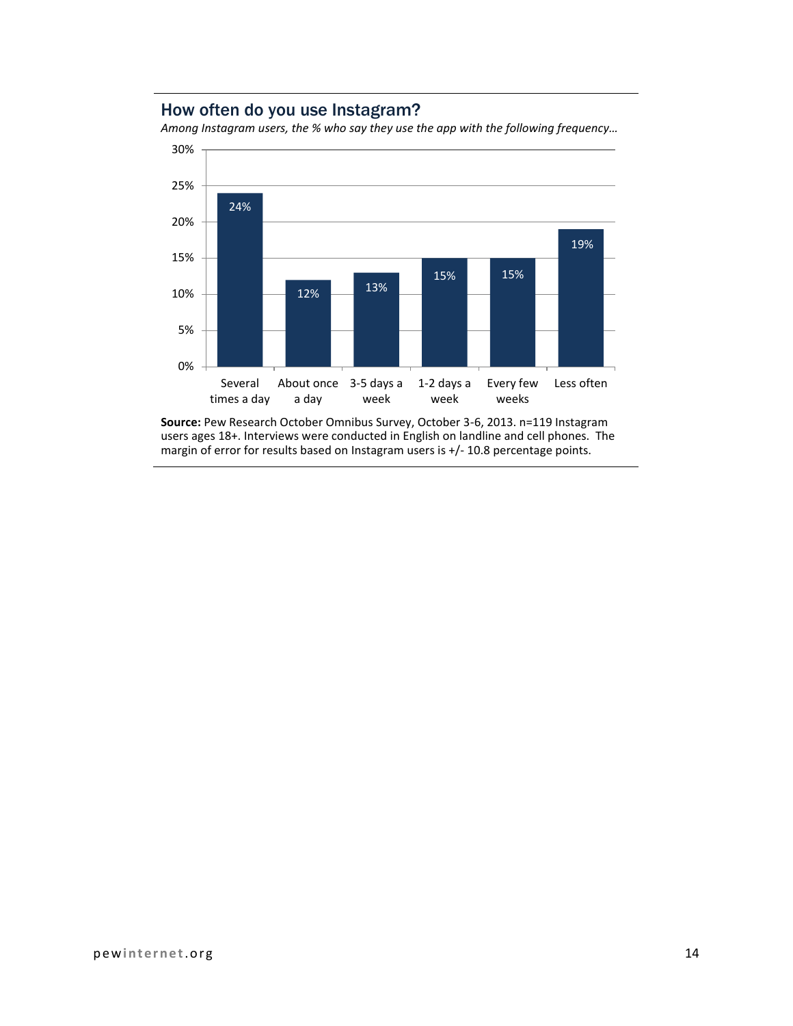#### How often do you use Instagram?

*Among Instagram users, the % who say they use the app with the following frequency…*



**Source:** Pew Research October Omnibus Survey, October 3-6, 2013. n=119 Instagram users ages 18+. Interviews were conducted in English on landline and cell phones. The margin of error for results based on Instagram users is +/- 10.8 percentage points.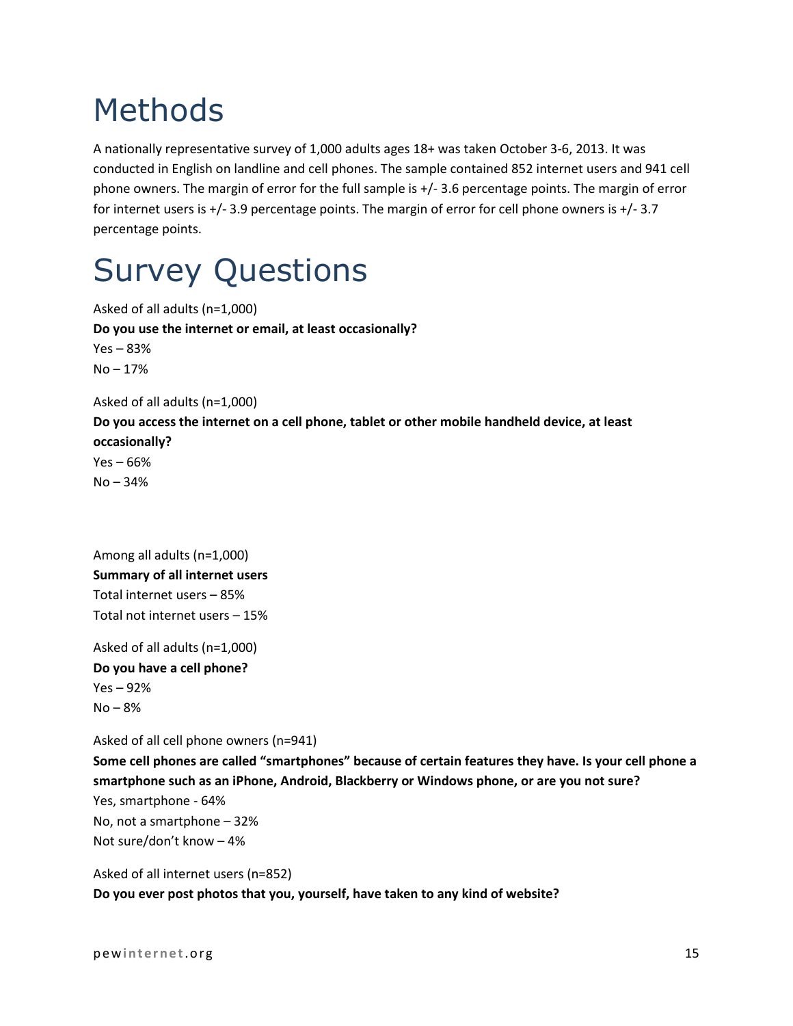# Methods

A nationally representative survey of 1,000 adults ages 18+ was taken October 3-6, 2013. It was conducted in English on landline and cell phones. The sample contained 852 internet users and 941 cell phone owners. The margin of error for the full sample is +/- 3.6 percentage points. The margin of error for internet users is +/- 3.9 percentage points. The margin of error for cell phone owners is +/- 3.7 percentage points.

# Survey Questions

Asked of all adults (n=1,000) **Do you use the internet or email, at least occasionally?** Yes – 83% No – 17% Asked of all adults (n=1,000) **Do you access the internet on a cell phone, tablet or other mobile handheld device, at least occasionally?** Yes – 66% No – 34%

Among all adults (n=1,000) **Summary of all internet users** Total internet users – 85% Total not internet users – 15%

Asked of all adults (n=1,000) **Do you have a cell phone?** Yes – 92%  $No - 8%$ 

Asked of all cell phone owners (n=941)

**Some cell phones are called "smartphones" because of certain features they have. Is your cell phone a smartphone such as an iPhone, Android, Blackberry or Windows phone, or are you not sure?** Yes, smartphone - 64% No, not a smartphone – 32% Not sure/don't know – 4%

Asked of all internet users (n=852) **Do you ever post photos that you, yourself, have taken to any kind of website?**